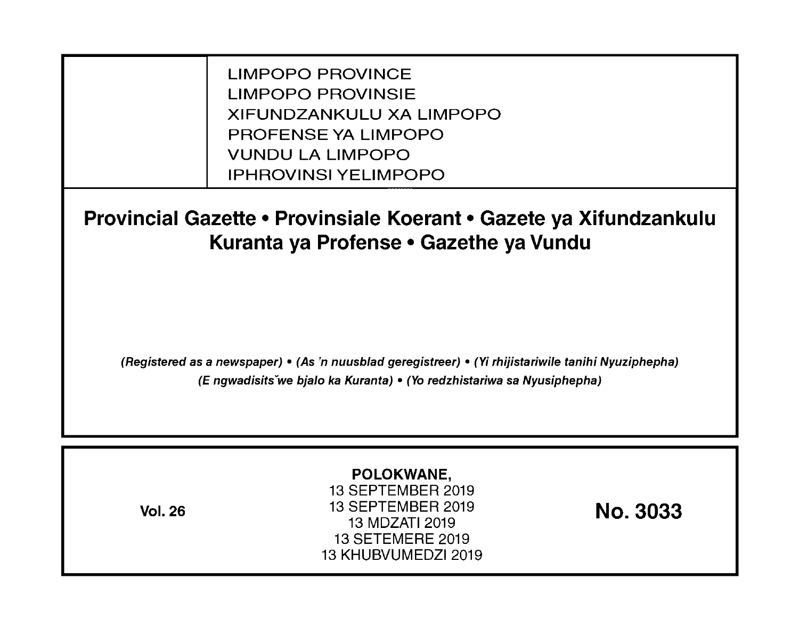LIMPOPO PROVINCE LIMPOPO PROVINSIE XIFUNDZANKULU XA LIMPOPO PROFENSE YA LIMPOPO VUNDU LA LIMPOPO IPHROVINSI YELIMPOPO

**Provincial Gazette • Provinsiale Koerant • Gazete ya Xifundzankulu Kuranta ya Profense • Gazethe ya Vundu** 

(Registered as a newspaper) • (As 'n nuusblad geregistreer) • (Yi rhijistariwile tanihi Nyuziphepha) (E ngwadisits we bjalo ka Kuranta) • (Yo redzhistariwa sa Nyusiphepha)

| <b>Vol. 26</b> | POLOKWANE,<br>13 SEPTEMBER 2019<br>13 SEPTEMBER 2019<br>13 MDZATI 2019<br>13 SETEMERE 2019<br>13 KHUBVUMEDZI 2019 | <b>No. 3033</b> |
|----------------|-------------------------------------------------------------------------------------------------------------------|-----------------|
|----------------|-------------------------------------------------------------------------------------------------------------------|-----------------|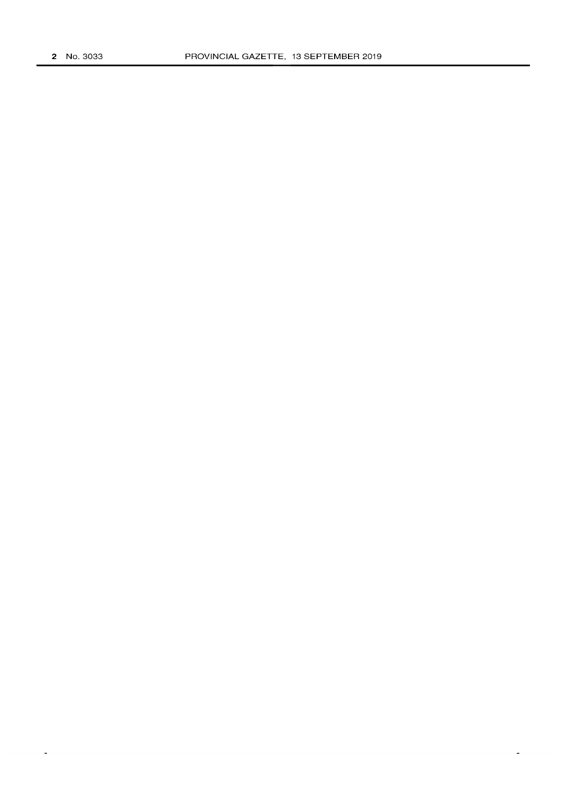$\Box$ 

 $\overline{\phantom{a}}$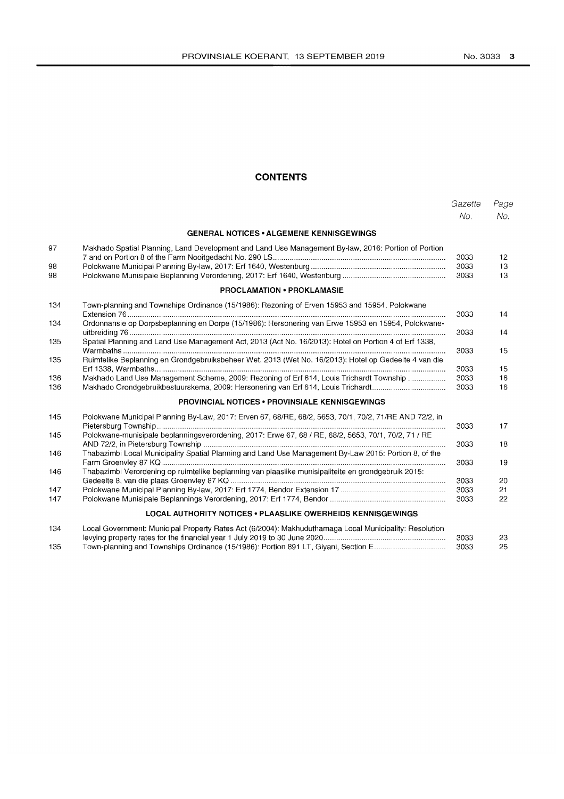## **CONTENTS**

|            |                                                                                                                                                                             | Gazette<br>No. | Page<br>No. |
|------------|-----------------------------------------------------------------------------------------------------------------------------------------------------------------------------|----------------|-------------|
|            | <b>GENERAL NOTICES • ALGEMENE KENNISGEWINGS</b>                                                                                                                             |                |             |
| 97         | Makhado Spatial Planning, Land Development and Land Use Management By-law, 2016: Portion of Portion                                                                         | 3033           | 12          |
| 98<br>98   |                                                                                                                                                                             | 3033<br>3033   | 13<br>13    |
|            | <b>PROCLAMATION • PROKLAMASIE</b>                                                                                                                                           |                |             |
| 134        | Town-planning and Townships Ordinance (15/1986): Rezoning of Erven 15953 and 15954, Polokwane                                                                               | 3033           | 14          |
| 134        | Ordonnansie op Dorpsbeplanning en Dorpe (15/1986): Hersonering van Erwe 15953 en 15954, Polokwane-                                                                          | 3033           | 14          |
| 135        | Spatial Planning and Land Use Management Act, 2013 (Act No. 16/2013): Hotel on Portion 4 of Erf 1338,                                                                       | 3033           | 15          |
| 135        | Ruimtelike Beplanning en Grondgebruiksbeheer Wet, 2013 (Wet No. 16/2013): Hotel op Gedeelte 4 van die                                                                       | 3033           | 15          |
| 136<br>136 | Makhado Land Use Management Scheme, 2009: Rezoning of Erf 614, Louis Trichardt Township<br>Makhado Grondgebruikbestuurskema, 2009: Hersonering van Erf 614, Louis Trichardt | 3033<br>3033   | 16<br>16    |
|            | <b>PROVINCIAL NOTICES • PROVINSIALE KENNISGEWINGS</b>                                                                                                                       |                |             |
| 145        | Polokwane Municipal Planning By-Law, 2017: Erven 67, 68/RE, 68/2, 5653, 70/1, 70/2, 71/RE AND 72/2, in                                                                      | 3033           | 17          |
| 145        | Polokwane-munisipale beplanningsverordening, 2017: Erwe 67, 68 / RE, 68/2, 5653, 70/1, 70/2, 71 / RE                                                                        | 3033           | 18          |
| 146        | Thabazimbi Local Municipality Spatial Planning and Land Use Management By-Law 2015: Portion 8, of the                                                                       | 3033           | 19          |
| 146        | Thabazimbi Verordening op ruimtelike beplanning van plaaslike munisipaliteite en grondgebruik 2015:                                                                         | 3033           | 20          |
| 147<br>147 |                                                                                                                                                                             | 3033<br>3033   | 21<br>22    |
|            | <b>LOCAL AUTHORITY NOTICES • PLAASLIKE OWERHEIDS KENNISGEWINGS</b>                                                                                                          |                |             |
| 134        | Local Government: Municipal Property Rates Act (6/2004): Makhuduthamaga Local Municipality: Resolution                                                                      | 3033           | 23          |
| 135        | Town-planning and Townships Ordinance (15/1986): Portion 891 LT, Giyani, Section E                                                                                          | 3033           | 25          |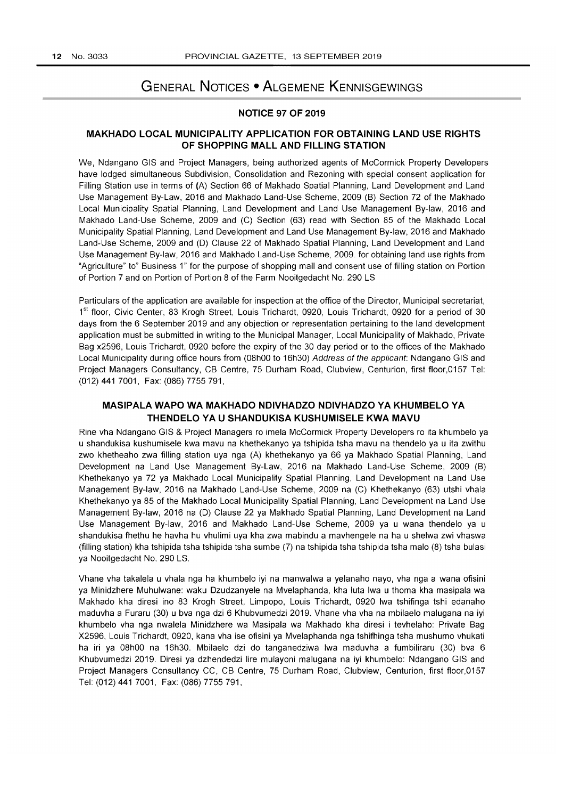# **GENERAL NOTICES • ALGEMENE KENNISGEWINGS**

### **NOTICE 97 OF 2019**

### **MAKHADO LOCAL MUNICIPALITY APPLICATION FOR OBTAINING LAND USE RIGHTS OF SHOPPING MALL AND FILLING STATION**

We, Ndangano GIS and Project Managers, being authorized agents of McCormick Property Developers have lodged simultaneous Subdivision, Consolidation and Rezoning with special consent application for Filling Station use in terms of (A) Section 66 of Makhado Spatial Planning, Land Development and Land Use Management By-Law, 2016 and Makhado Land-Use Scheme, 2009 (B) Section 72 of the Makhado Local Municipality Spatial Planning, Land Development and Land Use Management By-law, 2016 and Makhado Land-Use Scheme, 2009 and (C) Section (63) read with Section 85 of the Makhado Local Municipality Spatial Planning, Land Development and Land Use Management By-law, 2016 and Makhado Land-Use Scheme, 2009 and (D) Clause 22 of Makhado Spatial Planning, Land Development and Land Use Management By-law, 2016 and Makhado Land-Use Scheme, 2009. for obtaining land use rights from "Agriculture" to" Business 1" for the purpose of shopping mall and consent use of filling station on Portion of Portion 7 and on Portion of Portion 8 of the Farm Nooitgedacht No. 290 LS

Particulars of the application are available for inspection at the office of the Director, Municipal secretariat, 1<sup>st</sup> floor, Civic Center, 83 Krogh Street, Louis Trichardt, 0920, Louis Trichardt, 0920 for a period of 30 days from the 6 September 2019 and any objection or representation pertaining to the land development application must be submitted in writing to the Municipal Manager, Local Municipality of Makhado, Private Bag x2596, Louis Trichardt, 0920 before the expiry of the 30 day period or to the offices of the Makhado Local Municipality during office hours from (08hOO to 16h30) Address of the applicant: Ndangano GIS and Project Managers Consultancy, CB Centre, 75 Durham Road, Clubview, Centurion, first floor,0157 Tel: (012) 441 7001, Fax: (086) 7755 791,

## **MASIPALA WAPO WA MAKHADO NDIVHADZO NDIVHADZO YA KHUMBELO YA THENDELO YA U SHANDUKISA KUSHUMISELE KWA MAVU**

Rine vha Ndangano GIS & Project Managers ro imela McCormick Property Developers ro ita khumbelo ya u shandukisa kushumisele kwa mavu na khethekanyo ya tshipida tsha mavu na thendelo ya u ita zwithu zwo khetheaho zwa filling station uya nga (A) khethekanyo ya 66 ya Makhado Spatial Planning, Land Development na Land Use Management By-Law, 2016 na Makhado Land-Use Scheme, 2009 (B) Khethekanyo ya 72 ya Makhado Local Municipality Spatial Planning, Land Development na Land Use Management By-law, 2016 na Makhado Land-Use Scheme, 2009 na (C) Khethekanyo (63) utshi vhala Khethekanyo ya 85 of the Makhado Local Municipality Spatial Planning, Land Development na Land Use Management By-law, 2016 na (D) Clause 22 ya Makhado Spatial Planning, Land Development na Land Use Management By-law, 2016 and Makhado Land-Use Scheme, 2009 ya u wana thendelo ya u shandukisa fhethu he havha hu vhulimi uya kha zwa mabindu a mavhengele na ha u shelwa zwi vhaswa (filling station) kha tshipida tsha tshipida tsha sumbe (7) na tshipida tsha tshipida tsha malo (8) tsha bulasi ya Nooitgedacht No. 290 LS.

Vhane vha takalela u vhala nga ha khumbelo iyi na manwalwa a yelanaho nayo, vha nga a wana ofisini ya Minidzhere Muhulwane: waku Dzudzanyele na Mvelaphanda, kha luta Iwa u thoma kha masipala wa Makhado kha diresi ino 83 Krogh Street, Limpopo, Louis Trichardt, 0920 Iwa tshifinga tshi edanaho maduvha a Furaru (30) u bva nga dzi 6 Khubvumedzi 2019. Vhane vha vha na mbilaelo malugana na iyi khumbelo vha nga nwalela Minidzhere wa Masipala wa Makhado kha diresi i tevhelaho: Private Bag X2596, Louis Trichardt, 0920, kana vha ise ofisini ya Mvelaphanda nga tshifhinga tsha mushumo vhukati ha iri ya 08hOO na 16h30. Mbilaelo dzi do tanganedziwa Iwa maduvha a fumbiliraru (30) bva 6 Khubvumedzi 2019. Diresi ya dzhendedzi lire mulayoni malugana na iyi khumbelo: Ndangano GIS and Project Managers Consultancy CC, CB Centre, 75 Durham Road, Clubview, Centurion, first floor,0157 Tel: (012) 441 7001, Fax: (086) 7755 791,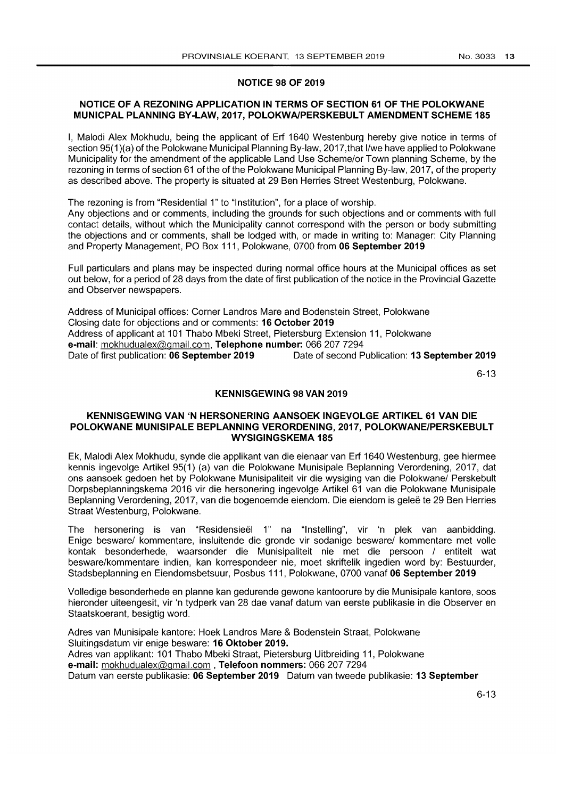### NOTICE 98 OF 2019

### NOTICE OF A REZONING APPLICATION IN TERMS OF SECTION 61 OF THE POLOKWANE MUNICPAL PLANNING BY-LAW, 2017, POLOKWA/PERSKEBULT AMENDMENT SCHEME 185

I, Malodi Alex Mokhudu, being the applicant of Erf 1640 Westenburg hereby give notice in terms of section 95(1)(a) of the Polokwane Municipal Planning By-law, 2017, that I/we have applied to Polokwane Municipality for the amendment of the applicable Land Use Scheme/or Town planning Scheme, by the rezoning in terms of section 61 of the of the Polokwane Municipal Planning By-law, 2017, of the property as described above. The property is situated at 29 Ben Herries Street Westenburg, Polokwane.

The rezoning is from "Residential 1" to "Institution", for a place of worship.

Any objections and or comments, including the grounds for such objections and or comments with full contact details, without which the Municipality cannot correspond with the person or body submitting the objections and or comments, shall be lodged with, or made in writing to: Manager: City Planning and Property Management, PO Box 111, Polokwane, 0700 from 06 September 2019

Full particulars and plans may be inspected during normal office hours at the Municipal offices as set out below, for a period of 28 days from the date of first publication of the notice in the Provincial Gazette and Observer newspapers.

Address of Municipal offices: Corner Landros Mare and Bodenstein Street, Polokwane Closing date for objections and or comments: 16 October 2019 Address of applicant at 101 Thabo Mbeki Street, Pietersburg Extension 11, Polokwane e-mail: mokhudualex@gmail.com, Telephone number: 066 207 7294 Date of first publication: 06 September 2019 Date of second Publication: 13 September 2019

6-13

### KENNISGEWING 98 VAN 2019

### KENNISGEWING VAN 'N HERSONERING AANSOEK INGEVOLGE ARTIKEL 61 VAN DIE POLOKWANE MUNISIPALE BEPLANNING VERORDENING, 2017, POLOKWANE/PERSKEBULT WYSIGINGSKEMA 185

Ek, Malodi Alex Mokhudu, synde die applikant van die eienaar van Erf 1640 Westenburg, gee hiermee kennis ingevolge Artikel 95(1) (a) van die Polokwane Munisipale Beplanning Verordening, 2017, dat ons aansoek gedoen het by Polokwane Munisipaliteit vir die wysiging van die Polokwane/ Perskebult Dorpsbeplanningskema 2016 vir die hersonering ingevolge Artikel 61 van die Polokwane Munisipale Beplanning Verordening, 2017, van die bogenoemde eiendom. Die eiendom is gelee te 29 Ben Herries Straat Westenburg, Polokwane.

The hersonering is van "Residensieel 1" na "Instelling", vir 'n plek van aanbidding. Enige besware/ kommentare, insluitende die gronde vir sodanige besware/ kommentare met volle kontak besonderhede, waarsonder die Munisipaliteit nie met die persoon I entiteit wat besware/kommentare indien, kan korrespondeer nie, moet skriftelik ingedien word by: Bestuurder, Stadsbeplanning en Eiendomsbetsuur, Posbus 111, Polokwane, 0700 vanaf 06 September 2019

Volledige besonderhede en planne kan gedurende gewone kantoorure by die Munisipale kantore, soos hieronder uiteengesit, vir 'n tydperk van 28 dae vanaf datum van eerste publikasie in die Observer en Staatskoerant, besigtig word.

Adres van Munisipale kantore: Hoek Landros Mare & Bodenstein Straat, Polokwane Sluitingsdatum vir enige besware: 16 Oktober 2019. Adres van applikant: 101 Thabo Mbeki Straat, Pietersburg Uitbreiding 11, Polokwane e-mail: mokhudualex@gmail.com, Telefoon nommers: 066 207 7294 Datum van eerste publikasie: 06 September 2019 Datum van tweede publikasie: 13 September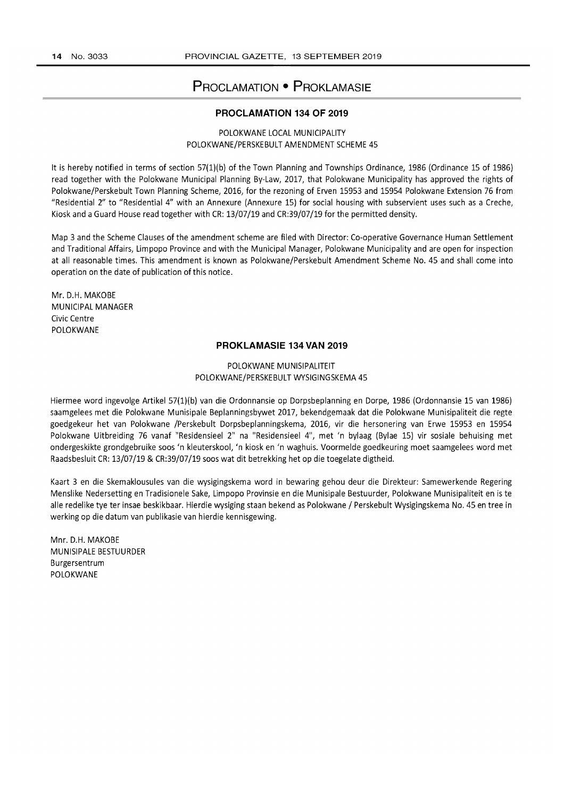# **PROCLAMATION • PROKLAMASIE**

## **PROCLAMATION 134 OF 2019**

POLOKWANE LOCAL MUNICIPALITY POLOKWANE/PERSKEBULT AMENDMENT SCHEME 45

It is hereby notified in terms of section 57(l)(b) of the Town Planning and Townships Ordinance, 1986 (Ordinance 15 of 1986) read together with the Polokwane Municipal Planning By-Law, 2017, that Polokwane Municipality has approved the rights of Polokwane/Perskebult Town Planning Scheme, 2016, for the rezoning of Erven 15953 and 15954 Polokwane Extension 76 from "Residential 2" to "Residential 4" with an Annexure (Annexure 15) for social housing with subservient uses such as a Creche, Kiosk and a Guard House read together with CR: 13/07/19 and CR:39/07/19 for the permitted density.

Map 3 and the Scheme Clauses of the amendment scheme are filed with Director: Co-operative Governance Human Settlement and Traditional Affairs, Limpopo Province and with the Municipal Manager, Polokwane Municipality and are open for inspection at all reasonable times. This amendment is known as Polokwane/Perskebult Amendment Scheme No. 45 and shall come into operation on the date of publication of this notice.

Mr. D.H. MAKOBE MUNICIPAL MANAGER Civic Centre POLOKWANE

### **PROKLAMASIE 134 VAN 2019**

### POLOKWANE MUNISIPALITEIT POLOKWANE/PERSKEBULT WYSIGINGSKEMA 45

Hiermee word ingevolge Artikel 57(l)(b) van die Ordonnansie op Dorpsbeplanning en Dorpe, 1986 (Ordonnansie 15 van 1986) saamgelees met die Polokwane Munisipale Beplanningsbywet 2017, bekendgemaak dat die Polokwane Munisipaliteit die regte goedgekeur het van Polokwane /Perskebult Dorpsbeplanningskema, 2016, vir die hersonering van Erwe 15953 en 15954 Polokwane Uitbreiding 76 vanaf "Residensieel 2" na "Residensieel 4", met 'n bylaag (Bylae 15) vir sosiale behuising met ondergeskikte grondgebruike 5005 'n kleuterskool, In kiosk en In waghuis. Voormelde goedkeuring moet saamgelees word met Raadsbesluit CR: 13/07/19 & CR:39/07/19 5005 wat dit betrekking het op die toegelate digtheid.

Kaart 3 en die Skemaklousules van die wysigingskema word in bewaring gehou deur die Direkteur: Samewerkende Regering Menslike Nedersetting en Tradisionele Sake, Limpopo Provinsie en die Munisipale Bestuurder, Polokwane Munisipaliteit en is te aile redelike tye ter insae beskikbaar. Hierdie wysiging staan bekend as Polokwane / Perskebult Wysigingskema No. 45 en tree in werking op die datum van publikasie van hierdie kennisgewing.

Mnr. D.H. MAKOBE MUNISIPALE BESTUURDER Burgersentrum POLOKWANE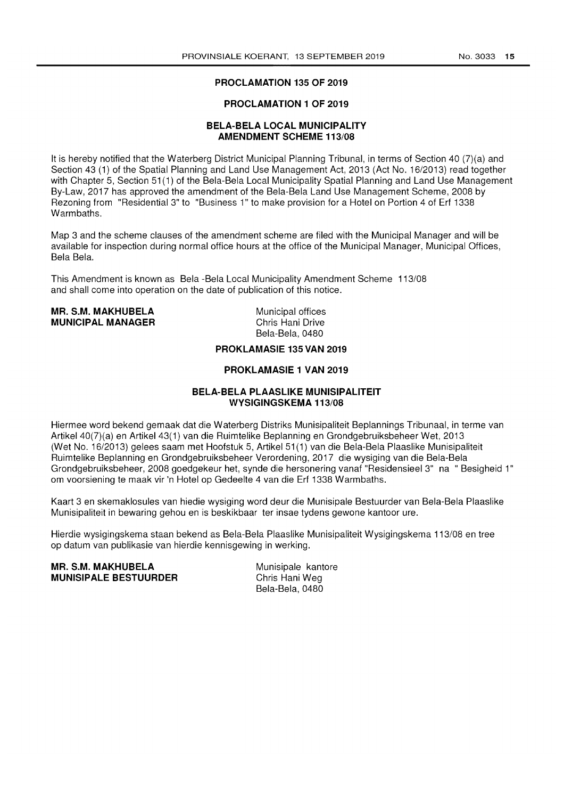### NO.3033 **15**

### **PROCLAMATION 135 OF 2019**

### **PROCLAMATION 1 OF 2019**

### **BELA-BELA LOCAL MUNICIPALITY AMENDMENT SCHEME 113/08**

It is hereby notified that the Waterberg District Municipal Planning Tribunal, in terms of Section 40 (7)(a) and Section 43 (1) of the Spatial Planning and Land Use Management Act, 2013 (Act No. 16/2013) read together with Chapter 5, Section 51(1) of the Bela-Bela Local Municipality Spatial Planning and Land Use Management By-Law, 2017 has approved the amendment of the Bela-Bela Land Use Management Scheme, 2008 by Rezoning from "Residential 3" to "Business 1" to make provision for a Hotel on Portion 4 of Erf 1338 Warmbaths.

Map 3 and the scheme clauses of the amendment scheme are filed with the Municipal Manager and will be available for inspection during normal office hours at the office of the Municipal Manager, Municipal Offices, Bela Bela.

This Amendment is known as Bela -Bela Local Municipality Amendment Scheme 113/08 and shall come into operation on the date of publication of this notice.

### **MR. S.M. MAKHUBELA MUNICIPAL MANAGER**

Municipal offices Chris Hani Drive Bela-Bela, 0480

### **PROKLAMASIE 135 VAN 2019**

### **PROKLAMASIE 1 VAN 2019**

### **BELA-BELA PLAASLIKE MUNISIPALITEIT WYSIGINGSKEMA 113/08**

Hiermee word bekend gemaak dat die Waterberg Distriks Munisipaliteit Beplannings Tribunaal, in terme van Artikel 40(7)(a) en Artikel 43(1) van die Ruimtelike Beplanning en Grondgebruiksbeheer Wet, 2013 (Wet No. 16/2013) gelees saam met Hoofstuk 5, Artikel 51 (1) van die Bela-Bela Plaaslike Munisipaliteit Ruimtelike Beplanning en Grondgebruiksbeheer Verordening, 2017 die wysiging van die Bela-Bela Grondgebruiksbeheer, 2008 goedgekeur het, synde die hersonering vanaf "Residensieel 3" na "Besigheid 1" om voorsiening te maak vir 'n Hotel op Gedeelte 4 van die Erf 1338 Warmbaths.

Kaart 3 en skemaklosules van hiedie wysiging word deur die Munisipale Bestuurder van Bela-Bela Plaaslike Munisipaliteit in bewaring gehou en is beskikbaar ter insae tydens gewone kantoor ure.

Hierdie wysigingskema staan bekend as Bela-Bela Plaaslike Munisipaliteit Wysigingskema 113/08 en tree op datum van publikasie van hierdie kennisgewing in werking.

**MR. S.M. MAKHUBELA MUNISIPALE BESTUURDER** 

Munisipale kantore Chris Hani Weg Bela-Bela, 0480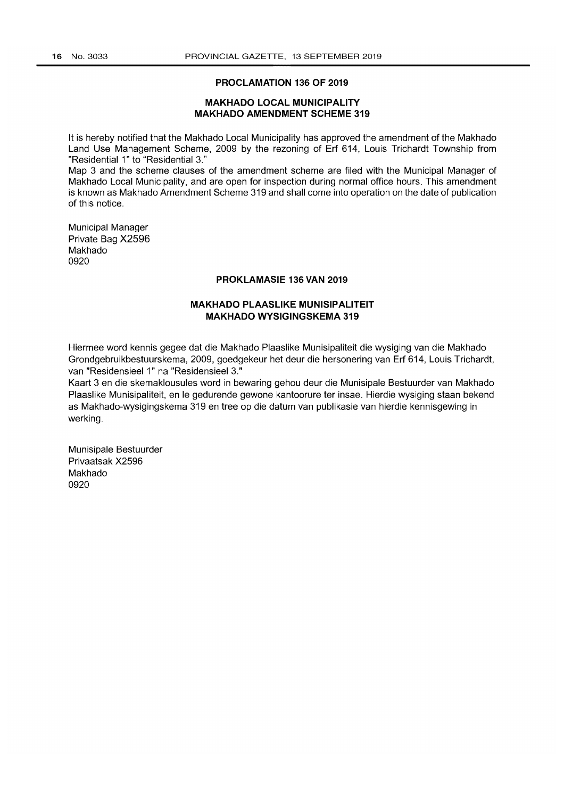### **PROCLAMATION 136 OF 2019**

### **MAKHADO LOCAL MUNICIPALITY MAKHADO AMENDMENT SCHEME 319**

**It** is hereby notified that the Makhado Local Municipality has approved the amendment of the Makhado Land Use Management Scheme, 2009 by the rezoning of **Erf** 614, Louis Trichardt Township from "Residential 1" to "Residential 3."

Map 3 and the scheme clauses of the amendment scheme are filed with the Municipal Manager of Makhado Local Municipality, and are open for inspection during normal office hours. This amendment is known as Makhado Amendment Scheme 319 and shall come into operation on the date of publication of this notice.

Municipal Manager Private Bag X2596 Makhado 0920

### **PROKLAMASIE 136 VAN 2019**

## **MAKHADO PLAASLIKE MUNISIPALITEIT MAKHADO WYSIGINGSKEMA 319**

Hiermee word kennis gegee dat die Makhado Plaaslike Munisipaliteit die wysiging van die Makhado Grondgebruikbestuurskema, 2009, goedgekeur het deur die hersonering van **Erf** 614, Louis Trichardt, van "Residensieel 1" na "Residensieel 3."

Kaart 3 en die skemaklousules word in bewaring gehou deur die Munisipale Bestuurder van Makhado Plaaslike Munisipaliteit, en Ie gedurende gewone kantoorure ter insae. Hierdie wysiging staan bekend as Makhado-wysigingskema 319 en tree op die datum van publikasie van hierdie kennisgewing in werking.

Munisipale Bestuurder Privaatsak X2596 Makhado 0920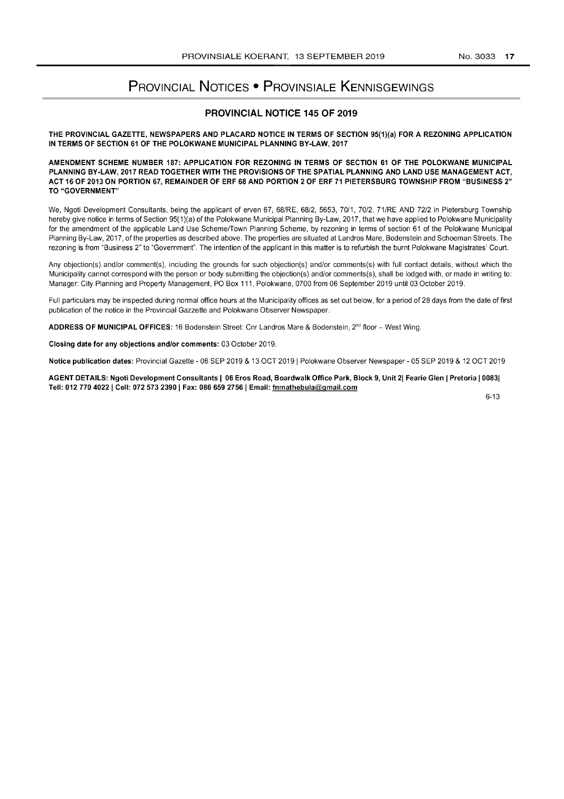# PROVINCIAL NOTICES • PROVINSIALE KENNISGEWINGS

### PROVINCIAL NOTICE 145 **OF** 2019

THE PROVINCIAL GAZETTE, NEWSPAPERS AND PLACARD NOTICE IN TERMS OF SECTION 95(1)(a) FOR A REZONING APPLICATION IN TERMS OF SECTION 61 OF THE POLOKWANE MUNICIPAL PLANNING BY-LAW, 2017

AMENDMENT SCHEME NUMBER 187: APPLICATION FOR REZONING IN TERMS OF SECTION 61 OF THE POLOKWANE MUNICIPAL PLANNING BY-LAW, 2017 READ TOGETHER WITH THE PROVISIONS OF THE SPATIAL PLANNING AND LAND USE MANAGEMENT ACT, ACT 16 OF 2013 ON PORTION 67, REMAINDER OF ERF 68 AND PORTION 2 OF ERF 71 PIETERSBURG TOWNSHIP FROM "BUSINESS 2" TO "GOVERNMENT"

We, Ngoti Development Consultants, being the applicant of erven 67, 68/RE, 68/2, 5653, 70/1, 70/2, 71/RE AND 72/2 in Pietersburg Township hereby give notice in terms of Section 95(1 )(a) of the Polokwane Municipal Planning By-Law, 2017, that we have applied to Polokwane Municipality for the amendment of the applicable Land Use Scheme/Town Planning Scheme, by rezoning in terms of section 61 of the Polokwane Municipal Planning By-Law, 2017, of the properties as described above. The properties are situated at Landros Mare, Bodenstein and Schoeman Streets. The rezoning is from "Business 2" to "Government'. The intention of the applicant in this matter is to refurbish the burnt Polokwane Magistrates' Court.

Any objection(s) and/or comment(s), including the grounds for such objection(s) and/or comments(s) with full contact details, without which the Municipality cannot correspond with the person or body submitting the objection(s) and/or comments(s), shall be lodged with, or made in writing to: Manager: City Planning and Property Management, PO Box 111, Polokwane, 0700 from 06 September 2019 until 03 October 2019.

Full particulars may be inspected during normal office hours at the Municipality offices as set out below, for a period of 28 days from the date of first publication of the notice in the Provincial Gazzette and Polokwane Observer Newspaper.

ADDRESS OF MUNICIPAL OFFICES: 16 Bodenstein Street: Cnr Landros Mare & Bodenstein, 2<sup>nd</sup> floor - West Wing.

Closing date for any objections and/or comments: 03 October 2019.

Notice publication dates: Provincial Gazelle - 06 SEP 2019 & 13 OCT 2019 1 Polokwane Observer Newspaper - 05 SEP 2019 & 12 OCT 2019

AGENT DETAILS: Ngoti Development Consultants | 06 Eros Road, Boardwalk Office Park, Block 9, Unit 2| Fearie Glen | Pretoria | 0083| Tell: 012 770 4022 | Cell: 072 573 2390 | Fax: 086 659 2756 | Email: fnmathebula@gmail.com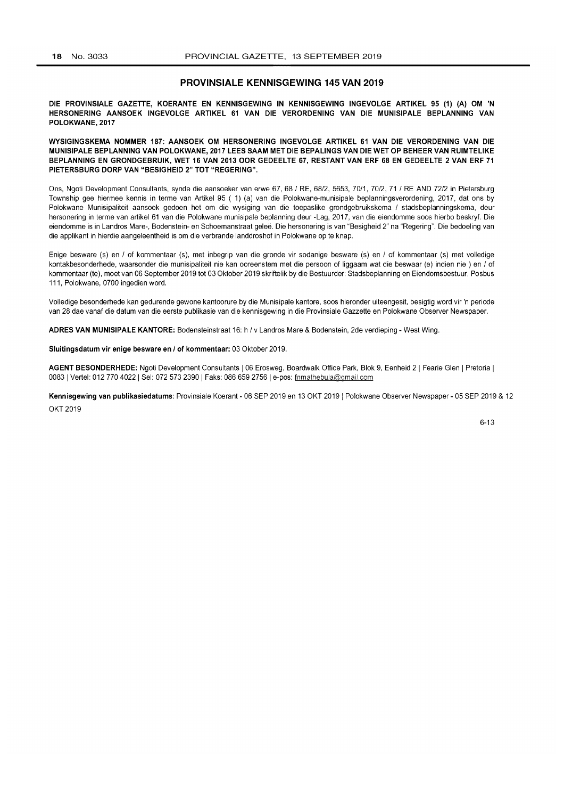### PROVINSIALE KENNISGEWING 145 VAN 2019

DIE PROVINSIALE GAZETTE, KOERANTE EN KENNISGEWING IN KENNISGEWING INGEVOLGE ARTIKEL 95 (1) (A) OM 'N HERSONERING AANSOEK INGEVOLGE ARTIKEL 61 VAN DIE VERORDENING VAN DIE MUNISIPALE BEPLANNING VAN POLOKWANE,2017

WYSIGINGSKEMA NOMMER 187: AANSOEK OM HERSONERING INGEVOLGE ARTIKEL 61 VAN DIE VERORDENING VAN DIE MUNISIPALE BEPLANNING VAN POLOKWANE, 2017 LEES SAAM MET DIE BEPALINGS VAN DIE WET OP BEHEER VAN RUIMTELIKE BEPLANNING EN GRONDGEBRUIK, WET 16 VAN 2013 OOR GEDEELTE 67, RESTANT VAN ERF 68 EN GEDEELTE 2 VAN ERF 71 PIETERSBURG DORP VAN "BESIGHEID 2" TOT "REGERING".

Ons, Ngoti Development Consultants, synde die aansoeker van erwe 67, 68 / RE, 68/2, 5653, 70/1, 70/2, 71 / RE AND 72/2 in Pietersburg Township gee hiermee kennis in terme van Artikel 95 ( 1) (a) van die Polokwane-munisipale beplanningsverordening, 2017, dat ons by Polokwane Munisipaliteit aansoek gedoen het om die wysiging van die toepaslike grondgebruikskema / stadsbeplanningskema, deur hersonering in terme van artikel 61 van die Polokwane munisipale beplanning deur -Lag, 2017, van die eiendomme soos hierbo beskryf. Die eiendomme is in Landros Mare-, Bodenstein- en Schoemanstraat geleë. Die hersonering is van "Besigheid 2" na "Regering". Die bedoeling van die applikant in hierdie aangeleentheid is om die verbrande landdroshof in Polokwane op te knap.

Enige besware (s) en / of kommentaar (s), met inbegrip van die gronde vir sodanige besware (s) en / of kommentaar (s) met volledige kontakbesonderhede, waarsonder die munisipaliteit nie kan ooreenstem met die persoon of liggaam wat die beswaar (e) indien nie ) en / of kommentaar (te), moet van 06 September 2019 tot 03 Oktober 2019 skriftelik by die Bestuurder: Stadsbeplanning en Eiendomsbestuur, Posbus 111, Polokwane, 0700 ingedien word.

Volledige besonderhede kan gedurende gewone kantoorure by die Munisipale kantore, soos hieronder uiteengesit, besigtig word vir 'n periode van 28 dae vanaf die datum van die eerste publikasie van die kennisgewing in die Provinsiale Gazzetle en Polokwane Observer Newspaper.

ADRES VAN MUNISIPALE KANTORE: Bodensteinstraat 16: h / v Landros Mare & Bodenstein, 2de verdieping - West Wing.

### Sluitingsdatum vir enige besware en 1 of kommentaar: 03 Oktober 2019.

AGENT BESONDERHEDE: Ngoti Development Consultants | 06 Erosweg, Boardwalk Office Park, Blok 9, Eenheid 2 | Fearie Glen | Pretoria | 0083 | Vertel: 012 770 4022 | Sel: 072 573 2390 | Faks: 086 659 2756 | e-pos: fnmathebula@gmail.com

Kennisgewing van publikasiedatums: Provinsiale Koerant - 06 SEP 2019 en 13 OKT 2019 | Polokwane Observer Newspaper - 05 SEP 2019 & 12 OKT 2019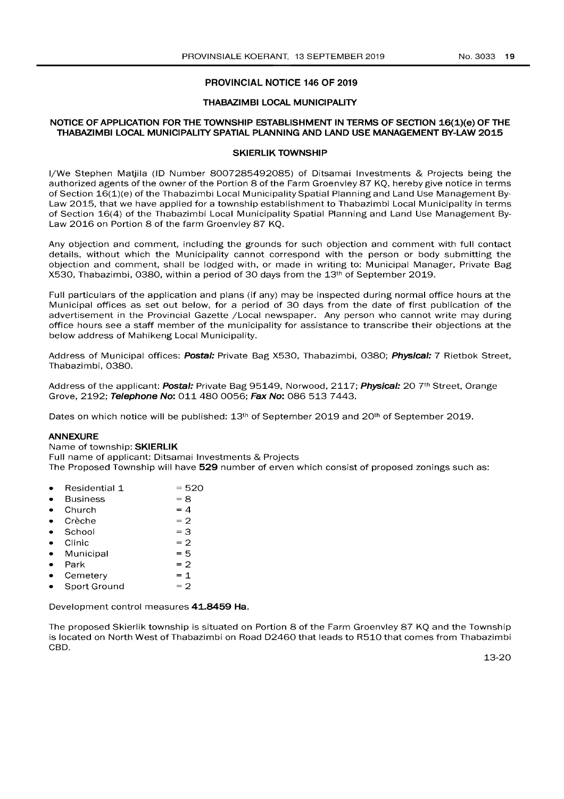### **PROVINCIAL NOTICE 146 OF 2019**

### **THABAZIMBI LOCAL MUNICIPALITY**

### NOTICE OF APPLICATION FOR THE TOWNSHIP ESTABLISHMENT IN TERMS OF SECTION 16(1)(e) OF THE **THABAZIMBI LOCAL MUNICIPALITY SPATIAL PLANNING AND LAND USE MANAGEMENT BY-LAW 201.5**

### **SKIERLIK TOWNSHIP**

IjWe Stephen Matjila (ID Number 8007285492085) of Ditsamai Investments & Projects being the authorized agents of the owner of the Portion 8 of the Farm Groenvley 87 KQ, hereby give notice in terms of Section 16(1)(e) of the Thabazimbi Local Municipality Spatial Planning and Land Use Management By-Law 2015, that we have applied for a township establishment to Thabazimbi Local Municipality in terms of Section 16(4) of the Thabazimbi Local Municipality Spatial Planning and Land Use Management By-Law 2016 on Portion 8 of the farm Groenvley 87 KQ.

Any objection and comment, including the grounds for such objection and comment with full contact details, without which the Municipality cannot correspond with the person or body submitting the objection and comment, shall be lodged with, or made in writing to: Municipal Manager, Private Bag X530, Thabazimbi, 0380, within a period of 30 days from the 13th of September 2019.

**Full** particulars of the application and plans (if any) may be inspected during normal office hours at the Municipal offices as set out below, for a period of 30 days from the date of first publication of the advertisement in the Provincial Gazette / Local newspaper. Any person who cannot write may during office hours see a staff member of the municipality for assistance to transcribe their objections at the below address of Mahikeng Local Municipality.

Address of Municipal offices: **Postal:** Private Bag X530, Thabazimbi, 0380; **Physical:** 7 Rietbok Street, Thabazimbi,0380.

Address of the applicant: **Postal:** Private Bag 95149, Norwood, 2117; **Physical:** 20 7th Street, Orange Grove, 2192; **Telephone No:** 011480 0056; **Fax No:** 086 513 7443.

Dates on which notice will be published: 13<sup>th</sup> of September 2019 and 20<sup>th</sup> of September 2019.

### **ANNEXURE**

### Name of township: **SKIERLIK**

**Full** name of applicant: Ditsamai Investments & Projects The Proposed Township will have **529** number of erven which consist of proposed zonings such as:

- Residential 1 =  $520$ <br>Business =  $8$
- Business  $=8$ <br>Church  $=4$
- Church  $=4$ <br>Crèche  $=2$
- Crèche  $=2$ <br>School  $=3$
- School =  $3$ <br>Clinic =  $2$
- $P = 2$ <br>
Municipal  $P = 5$
- $Municipal$  = 5<br>Park = 2
- Park  $=2$
- $\begin{array}{l}\n\text{Cemetery} & = 1 \\
\text{Short Ground} & = 2\n\end{array}$
- Sport Ground

Development control measures 41.8459 Ha.

The proposed Skierlik township is situated on Portion 8 of the Farm Groenvley 87 KQ and the Township is located on North West of Thabazimbi on Road D2460 that leads to R510 that comes from Thabazimbi CBD.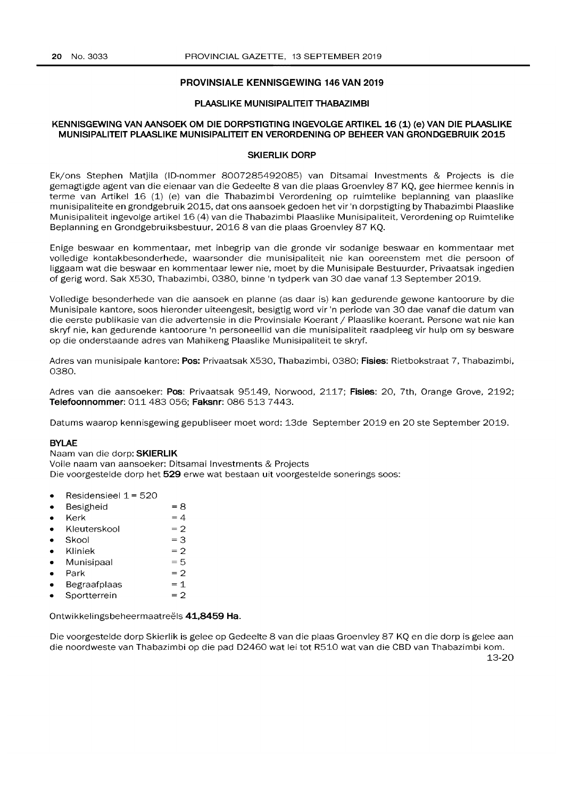### **PROVINSIALE KENNISGEWING 146 VAN 2019**

### **PLAASLIKE MUNISIPALITEIT THABAZIMBI**

### **KENNISGEWING VAN MNSOEK OM DIE DORPSTIGTING INGEVOLGE ARTIKEL 16 (1) (e) VAN DIE PLAASLIKE MUNISIPALITEIT PLAASLIKE MUNISIPALITEIT EN VERORDENING OP BEHEER VAN GRONDGEBRUIK 2015**

### **SKIERLIK DORP**

Ek/ons Stephen Matjila (ID-nommer 8007285492085) van Ditsamai Investments & Projects is die gemagtigde agent van die eienaar van die Gedeelte 8 van die plaas Groenvley 87 KQ, gee hiermee kennis in terme van Artikel 16 (1) (e) van die Thabazimbi Verordening op ruimtelike beplanning van plaaslike munisipaliteite en grondgebruik 2015, dat ons aansoek gedoen het vir 'n dorpstigting by Thabazimbi Plaaslike Munisipaliteit ingevolge artikel 16 (4) van die Thabazimbi Plaaslike Munisipaliteit, Verordening op Ruimtelike Beplanning en Grondgebruiksbestuur, 20168 van die plaas Groenvley 87 KQ.

Enige beswaar en kommentaar, met inbegrip van die gronde vir sodanige beswaar en kommentaar met volledige kontakbesonderhede, waarsonder die munisipaliteit nie kan ooreenstem met die persoon of liggaam wat die beswaar en kommentaar lewer nie, moet by die Munisipale Bestuurder, Privaatsak ingedien of gerig word. Sak X530, Thabazimbi, 0380, binne 'n tydperk van 30 dae vanaf 13 September 2019.

Volledige besonderhede van die aansoek en planne (as daar is) kan gedurende gewone kantoorure by die Munisipale kantore, soos hieronder uiteengesit, besigtig word vir 'n periode van 30 dae vanaf die datum van die eerste publikasie van die advertensie in die Provinsiale Koerant / Plaaslike koerant. Persone wat nie kan skryf nie, kan gedurende kantoorure 'n personeellid van die munisipaliteit raadpleeg vir hulp om sy besware op die onderstaande adres van Mahikeng Plaaslike Munisipaliteit te skryf.

Adres van munisipale kantore: **Pos:** Privaatsak X530, Thabazimbi, 0380; **Fisies:** Rietbokstraat 7, Thabazimbi, 0380.

Adres van die aansoeker: **Pos:** Privaatsak 95149, Norwood, 2117; **Fisies:** 20, 7th, Orange Grove, 2192; **Telefoonnommer:** 011483 056; **Faksnr:** 0865137443.

Datums waarop kennisgewing gepubliseer moet word: 13de September 2019 en 20 ste September 2019.

### **BYLAE**

Naam van die dorp: **SKIERLIK**  Voile naam van aansoeker: Ditsamai Investments & Projects Die voorgestelde dorp het **529** erwe wat bestaan uit voorgestelde sonerings soos:

- Residensieel  $1 = 520$
- Besigheid  $=8$ <br>Kerk  $=4$
- Kerk  $=4$
- $K$ leuterskool = 2<br>Skool = 3
- Skool =  $3$ <br>Kliniek =  $2$
- $K$ liniek  $=2$ <br>Munisipaal  $=5$
- $M$ unisipaal = 5<br>Park = 2
- Park  $=2$
- Begraafplaas  $=1$ <br>Sportterrein  $=2$
- Sportterrein

Ontwikkelingsbeheermaatreëls 41,8459 Ha.

Die voorgestelde dorp Skierlik is gelee op Gedeelte 8 van die plaas Groenvley 87 KQ en die dorp is gelee aan die noordweste van Thabazimbi op die pad D2460 wat lei tot R510 wat van die CBD van Thabazimbi kom.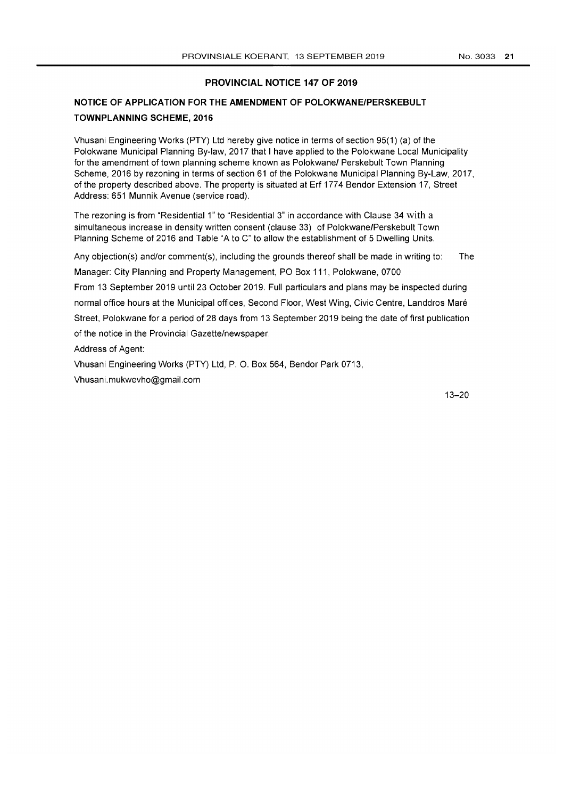### NO.3033 **21**

### **PROVINCIAL NOTICE 147 OF 2019**

## **NOTICE OF APPLICATION FOR THE AMENDMENT OF POLOKWANE/PERSKEBULT TOWNPLANNING SCHEME, 2016**

Vhusani Engineering Works (PTY) Ltd hereby give notice in terms of section 95(1) (a) of the Polokwane Municipal Planning By-law, 2017 that I have applied to the Polokwane Local Municipality for the amendment of town planning scheme known as Polokwane/ Perskebult Town Planning Scheme, 2016 by rezoning in terms of section 61 of the Polokwane Municipal Planning By-Law, 2017, of the property described above. The property is situated at Erf 1774 Bendor Extension 17, Street Address: 651 Munnik Avenue (service road).

The rezoning is from "Residential 1" to "Residential 3" in accordance with Clause 34 with a simultaneous increase in density written consent (clause 33) of Polokwane/Perskebult Town Planning Scheme of 2016 and Table "A to C" to allow the establishment of 5 Dwelling Units.

Any objection(s) and/or comment(s), including the grounds thereof shall be made in writing to: The Manager: City Planning and Property Management, PO Box 111, Polokwane, 0700

From 13 September 2019 until 23 October 2019. Full particulars and plans may be inspected during normal office hours at the Municipal offices, Second Floor, West Wing, Civic Centre, Landdros Mare Street, Polokwane for a period of 28 days from 13 September 2019 being the date of first publication of the notice in the Provincial Gazette/newspaper.

Address of Agent:

Vhusani Engineering Works (PTY) Ltd, P. O. Box 564, Bendor Park 0713,

Vhusani.mukwevho@gmail.com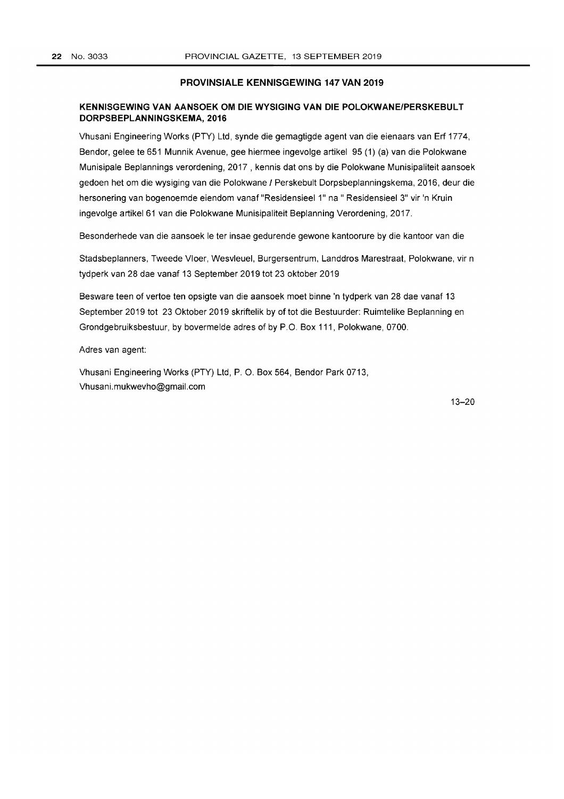### **PROVINSIALE KENNISGEWING 147 VAN 2019**

### **KENNISGEWING VAN AANSOEK OM DIE WYSIGING VAN DIE POLOKWANE/PERSKEBUL T DORPSBEPLANNINGSKEMA, 2016**

Vhusani Engineering Works (PTY) Ltd, synde die gemagtigde agent van die eienaars van Erf 1774, Bendor, gelee te 651 Munnik Avenue, gee hiermee ingevolge artikel 95 (1) (a) van die Polokwane Munisipale Beplannings verordening, 2017 , kennis dat ons by die Polokwane Munisipaliteit aansoek gedoen het om die wysiging van die Polokwane / Perskebult Dorpsbeplanningskema, 2016, deur die hersonering van bogenoemde eiendom vanaf "Residensieel 1" na " Residensieel 3" vir 'n Kruin ingevolge artikel 61 van die Polokwane Munisipaliteit Beplanning Verordening, 2017.

Besonderhede van die aansoek Ie ter insae gedurende gewone kantoorure by die kantoor van die

Stadsbeplanners, Tweede Vloer, Wesvleuel, Burgersentrum, Landdros Marestraat, Polokwane, vir n tydperk van 28 dae vanaf 13 September 2019 tot 23 oktober 2019

Besware teen of vertoe ten opsigte van die aansoek moet binne 'n tydperk van 28 dae vanaf 13 September 2019 tot 23 Oktober 2019 skriftelik by of tot die Bestuurder: Ruimtelike Beplanning en Grondgebruiksbestuur, by bovermelde adres of by P.O. Box 111, Polokwane, 0700.

Adres van agent:

Vhusani Engineering Works (PTY) Ltd, P. O. Box 564, Bendor Park 0713, Vhusani.mukwevho@gmail.com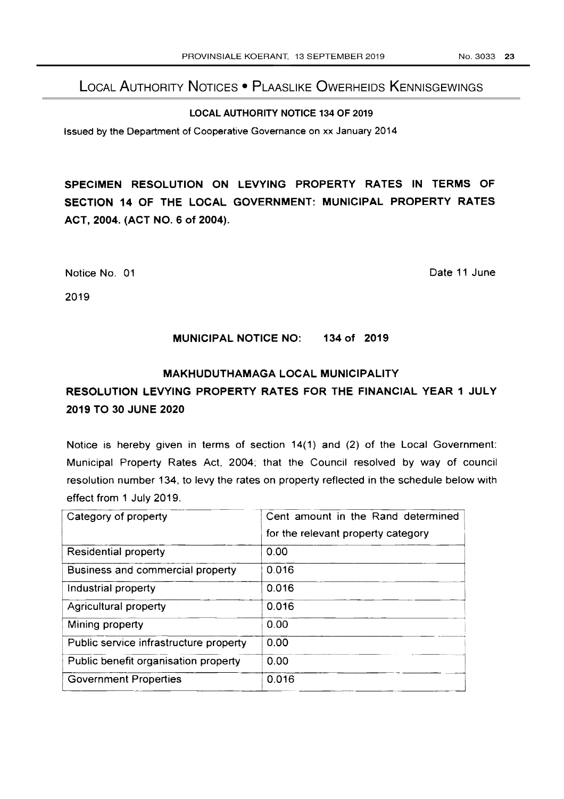# LOCAL AUTHORITY NOTICES • PLAASLIKE OWERHEIDS KENNISGEWINGS

## LOCAL AUTHORITY NOTICE 134 OF 2019

Issued by the Department of Cooperative Governance on xx January 2014

SPECIMEN RESOLUTION ON LEVYING PROPERTY RATES IN TERMS OF SECTION 14 OF THE LOCAL GOVERNMENT: MUNICIPAL PROPERTY RATES ACT, 2004. (ACT NO.6 of 2004).

Notice No. 01 **Date 11 June** 

2019

## MUNICIPAL NOTICE NO: 134 of 2019

## MAKHUDUTHAMAGA LOCAL MUNICIPALITY

# RESOLUTION LEVYING PROPERTY RATES FOR THE FINANCIAL YEAR 1 JULY 2019 TO 30 JUNE 2020

Notice is hereby given in terms of section 14(1) and (2) of the Local Government: Municipal Property Rates Act, 2004; that the Council resolved by way of council resolution number 134, to levy the rates on property reflected in the schedule below with effect from 1 July 2019.

| Category of property                   | Cent amount in the Rand determined |  |
|----------------------------------------|------------------------------------|--|
|                                        | for the relevant property category |  |
| <b>Residential property</b>            | 0.00                               |  |
| Business and commercial property       | 0.016                              |  |
| Industrial property                    | 0.016                              |  |
| Agricultural property                  | 0.016                              |  |
| Mining property                        | 0.00                               |  |
| Public service infrastructure property | 0.00                               |  |
| Public benefit organisation property   | 0.00                               |  |
| <b>Government Properties</b>           | 0.016                              |  |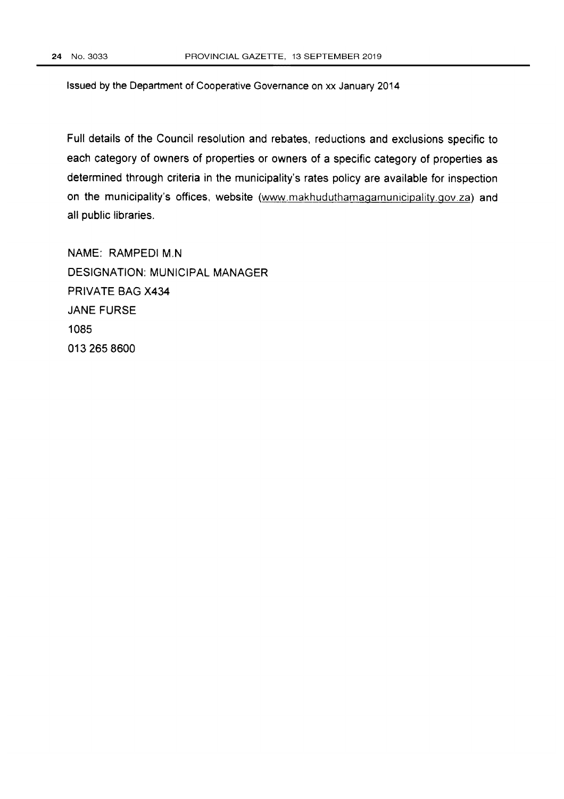Issued by the Department of Cooperative Governance on xx January 2014

Full details of the Council resolution and rebates, reductions and exclusions specific to each category of owners of properties or owners of a specific category of properties as determined through criteria in the municipality's rates policy are available for inspection on the municipality's offices, website (www.makhuduthamagamunicipality.gov.za) and all public libraries.

NAME: RAMPEDI M.N DESIGNATION: MUNICIPAL MANAGER PRIVATE BAG X434 JANE FURSE 1085 0132658600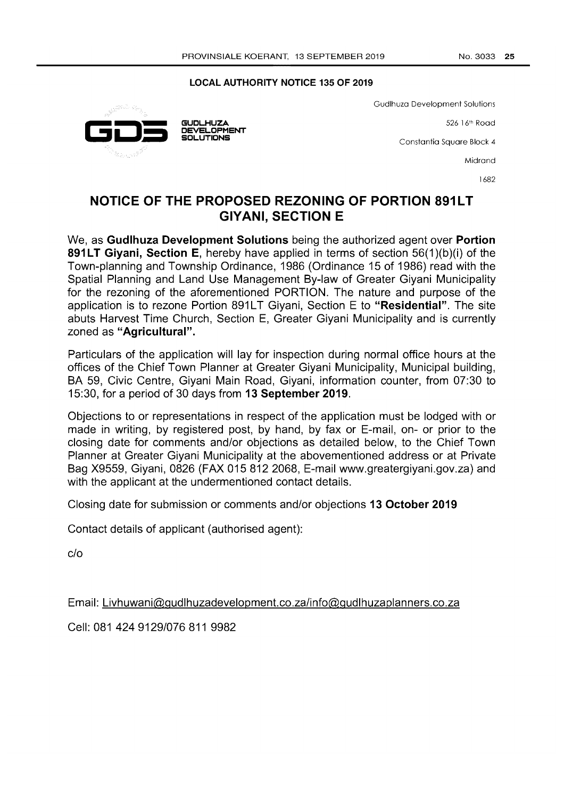## **LOCAL AUTHORITY NOTICE 135 OF 2019**

Gudlhuza Development Solutions

526 16th Road

Constantia Square Block 4

Midrand

1682

# **NOTICE OF THE PROPOSED REZONING OF PORTION 891LT GIVANI, SECTION E**

We, as **Gudlhuza Development Solutions** being the authorized agent over **Portion 891LT Giyani, Section E**, hereby have applied in terms of section 56(1)(b)(i) of the Town-planning and Township Ordinance, 1986 (Ordinance 15 of 1986) read with the Spatial Planning and Land Use Management By-law of Greater Giyani Municipality for the rezoning of the aforementioned PORTION. The nature and purpose of the application is to rezone Portion 891LT Giyani, Section E to "Residential". The site abuts Harvest Time Church, Section E, Greater Giyani Municipality and is currently zoned as **"Agricultural".** 

Particulars of the application will lay for inspection during normal office hours at the offices of the Chief Town Planner at Greater Giyani Municipality, Municipal building, BA 59, Civic Centre, Giyani Main Road, Giyani, information counter, from 07:30 to 15:30, for a period of 30 days from **13 September 2019.** 

Objections to or representations in respect of the application must be lodged with or made in writing, by registered post, by hand, by fax or E-mail, on- or prior to the closing date for comments and/or objections as detailed below, to the Chief Town Planner at Greater Giyani Municipality at the abovementioned address or at Private Bag X9559, Giyani, 0826 (FAX 015 812 2068, E-mail www.greatergiyani.gov.za) and with the applicant at the undermentioned contact details.

Closing date for submission or comments and/or objections **13 October 2019** 

Contact details of applicant (authorised agent):

c/o

Email: Livhuwani@gudlhuzadevelopment.co.za/info@gudlhuzaplanners.co.za

Cell: 081 4249129/076 811 9982